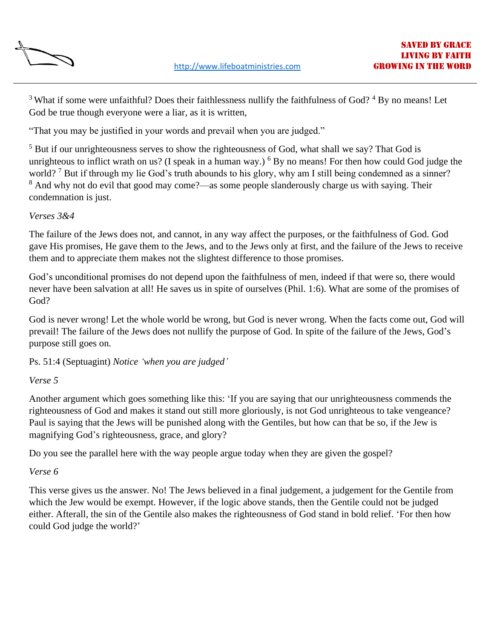

<sup>3</sup> What if some were unfaithful? Does their faithlessness nullify the faithfulness of God? <sup>4</sup> By no means! Let God be true though everyone were a liar, as it is written,

"That you may be justified in your words and prevail when you are judged."

<sup>5</sup> But if our unrighteousness serves to show the righteousness of God, what shall we say? That God is unrighteous to inflict wrath on us? (I speak in a human way.)  $6$  By no means! For then how could God judge the world? <sup>7</sup> But if through my lie God's truth abounds to his glory, why am I still being condemned as a sinner? <sup>8</sup> And why not do evil that good may come?—as some people slanderously charge us with saying. Their condemnation is just.

# *Verses 3&4*

The failure of the Jews does not, and cannot, in any way affect the purposes, or the faithfulness of God. God gave His promises, He gave them to the Jews, and to the Jews only at first, and the failure of the Jews to receive them and to appreciate them makes not the slightest difference to those promises.

God's unconditional promises do not depend upon the faithfulness of men, indeed if that were so, there would never have been salvation at all! He saves us in spite of ourselves (Phil. 1:6). What are some of the promises of God?

God is never wrong! Let the whole world be wrong, but God is never wrong. When the facts come out, God will prevail! The failure of the Jews does not nullify the purpose of God. In spite of the failure of the Jews, God's purpose still goes on.

Ps. 51:4 (Septuagint) *Notice 'when you are judged'*

# *Verse 5*

Another argument which goes something like this: 'If you are saying that our unrighteousness commends the righteousness of God and makes it stand out still more gloriously, is not God unrighteous to take vengeance? Paul is saying that the Jews will be punished along with the Gentiles, but how can that be so, if the Jew is magnifying God's righteousness, grace, and glory?

Do you see the parallel here with the way people argue today when they are given the gospel?

# *Verse 6*

This verse gives us the answer. No! The Jews believed in a final judgement, a judgement for the Gentile from which the Jew would be exempt. However, if the logic above stands, then the Gentile could not be judged either. Afterall, the sin of the Gentile also makes the righteousness of God stand in bold relief. 'For then how could God judge the world?'